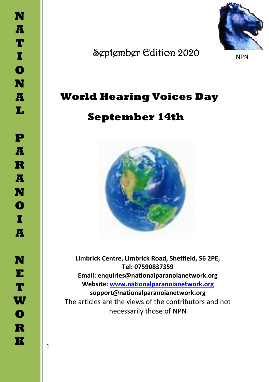

September Edition 2020

NPN

# **World Hearing Voices Day**

# **September 14th**



**Limbrick Centre, Limbrick Road, Sheffield, S6 2PE, Tel: 07590837359 Email: enquiries@nationalparanoianetwork.org Website: [www.nationalparanoianetwork.org](http://www.nationalparanoianetwork.org/) support@nationalparanoianetwork.org** The articles are the views of the contributors and not necessarily those of NPN

1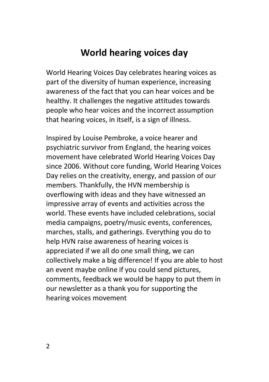## **World hearing voices day**

World Hearing Voices Day celebrates hearing voices as part of the diversity of human experience, increasing awareness of the fact that you can hear voices and be healthy. It challenges the negative attitudes towards people who hear voices and the incorrect assumption that hearing voices, in itself, is a sign of illness.

Inspired by Louise Pembroke, a voice hearer and psychiatric survivor from England, the hearing voices movement have celebrated World Hearing Voices Day since 2006. Without core funding, World Hearing Voices Day relies on the creativity, energy, and passion of our members. Thankfully, the HVN membership is overflowing with ideas and they have witnessed an impressive array of events and activities across the world. These events have included celebrations, social media campaigns, poetry/music events, conferences, marches, stalls, and gatherings. Everything you do to help HVN raise awareness of hearing voices is appreciated if we all do one small thing, we can collectively make a big difference! If you are able to host an event maybe online if you could send pictures, comments, feedback we would be happy to put them in our newsletter as a thank you for supporting the hearing voices movement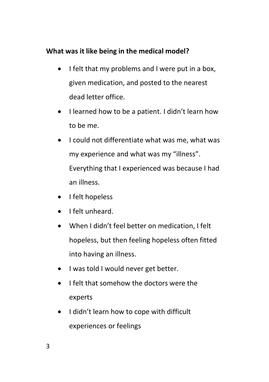#### **What was it like being in the medical model?**

- I felt that my problems and I were put in a box, given medication, and posted to the nearest dead letter office.
- I learned how to be a patient. I didn't learn how to be me.
- I could not differentiate what was me, what was my experience and what was my "illness". Everything that I experienced was because I had an illness.
- I felt hopeless
- I felt unheard.
- When I didn't feel better on medication, I felt hopeless, but then feeling hopeless often fitted into having an illness.
- I was told I would never get better.
- I felt that somehow the doctors were the experts
- I didn't learn how to cope with difficult experiences or feelings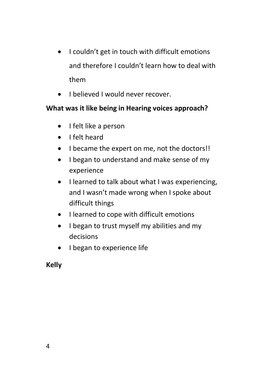- I couldn't get in touch with difficult emotions and therefore I couldn't learn how to deal with them
- I believed I would never recover.

#### **What was it like being in Hearing voices approach?**

- I felt like a person
- I felt heard
- I became the expert on me, not the doctors!!
- I began to understand and make sense of my experience
- I learned to talk about what I was experiencing, and I wasn't made wrong when I spoke about difficult things
- I learned to cope with difficult emotions
- I began to trust myself my abilities and my decisions
- I began to experience life

**Kelly**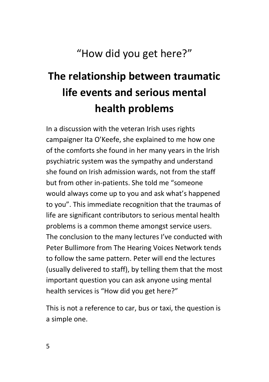"How did you get here?"

# **The relationship between traumatic life events and serious mental health problems**

In a discussion with the veteran Irish uses rights campaigner Ita O'Keefe, she explained to me how one of the comforts she found in her many years in the Irish psychiatric system was the sympathy and understand she found on Irish admission wards, not from the staff but from other in-patients. She told me "someone would always come up to you and ask what's happened to you". This immediate recognition that the traumas of life are significant contributors to serious mental health problems is a common theme amongst service users. The conclusion to the many lectures I've conducted with Peter Bullimore from The Hearing Voices Network tends to follow the same pattern. Peter will end the lectures (usually delivered to staff), by telling them that the most important question you can ask anyone using mental health services is "How did you get here?"

This is not a reference to car, bus or taxi, the question is a simple one.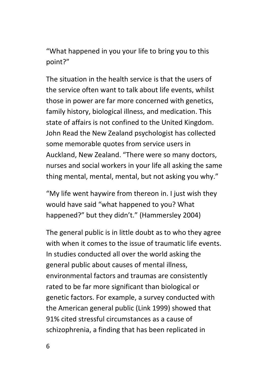"What happened in you your life to bring you to this point?"

The situation in the health service is that the users of the service often want to talk about life events, whilst those in power are far more concerned with genetics, family history, biological illness, and medication. This state of affairs is not confined to the United Kingdom. John Read the New Zealand psychologist has collected some memorable quotes from service users in Auckland, New Zealand. "There were so many doctors, nurses and social workers in your life all asking the same thing mental, mental, mental, but not asking you why."

"My life went haywire from thereon in. I just wish they would have said "what happened to you? What happened?" but they didn't." (Hammersley 2004)

The general public is in little doubt as to who they agree with when it comes to the issue of traumatic life events. In studies conducted all over the world asking the general public about causes of mental illness, environmental factors and traumas are consistently rated to be far more significant than biological or genetic factors. For example, a survey conducted with the American general public (Link 1999) showed that 91% cited stressful circumstances as a cause of schizophrenia, a finding that has been replicated in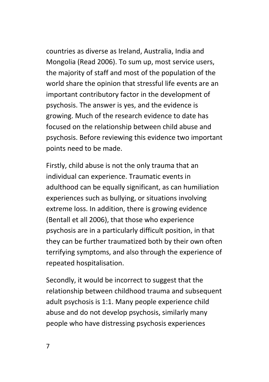countries as diverse as Ireland, Australia, India and Mongolia (Read 2006). To sum up, most service users, the majority of staff and most of the population of the world share the opinion that stressful life events are an important contributory factor in the development of psychosis. The answer is yes, and the evidence is growing. Much of the research evidence to date has focused on the relationship between child abuse and psychosis. Before reviewing this evidence two important points need to be made.

Firstly, child abuse is not the only trauma that an individual can experience. Traumatic events in adulthood can be equally significant, as can humiliation experiences such as bullying, or situations involving extreme loss. In addition, there is growing evidence (Bentall et all 2006), that those who experience psychosis are in a particularly difficult position, in that they can be further traumatized both by their own often terrifying symptoms, and also through the experience of repeated hospitalisation.

Secondly, it would be incorrect to suggest that the relationship between childhood trauma and subsequent adult psychosis is 1:1. Many people experience child abuse and do not develop psychosis, similarly many people who have distressing psychosis experiences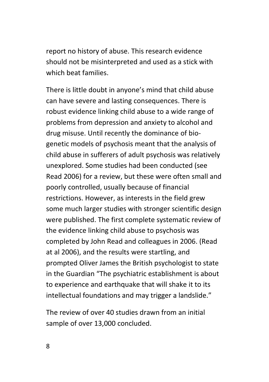report no history of abuse. This research evidence should not be misinterpreted and used as a stick with which beat families.

There is little doubt in anyone's mind that child abuse can have severe and lasting consequences. There is robust evidence linking child abuse to a wide range of problems from depression and anxiety to alcohol and drug misuse. Until recently the dominance of biogenetic models of psychosis meant that the analysis of child abuse in sufferers of adult psychosis was relatively unexplored. Some studies had been conducted (see Read 2006) for a review, but these were often small and poorly controlled, usually because of financial restrictions. However, as interests in the field grew some much larger studies with stronger scientific design were published. The first complete systematic review of the evidence linking child abuse to psychosis was completed by John Read and colleagues in 2006. (Read at al 2006), and the results were startling, and prompted Oliver James the British psychologist to state in the Guardian "The psychiatric establishment is about to experience and earthquake that will shake it to its intellectual foundations and may trigger a landslide."

The review of over 40 studies drawn from an initial sample of over 13,000 concluded.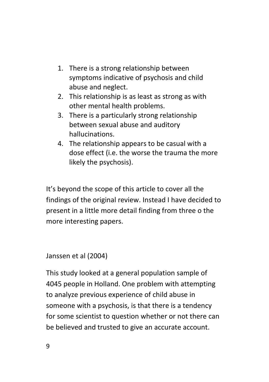- 1. There is a strong relationship between symptoms indicative of psychosis and child abuse and neglect.
- 2. This relationship is as least as strong as with other mental health problems.
- 3. There is a particularly strong relationship between sexual abuse and auditory hallucinations.
- 4. The relationship appears to be casual with a dose effect (i.e. the worse the trauma the more likely the psychosis).

It's beyond the scope of this article to cover all the findings of the original review. Instead I have decided to present in a little more detail finding from three o the more interesting papers.

#### Janssen et al (2004)

This study looked at a general population sample of 4045 people in Holland. One problem with attempting to analyze previous experience of child abuse in someone with a psychosis, is that there is a tendency for some scientist to question whether or not there can be believed and trusted to give an accurate account.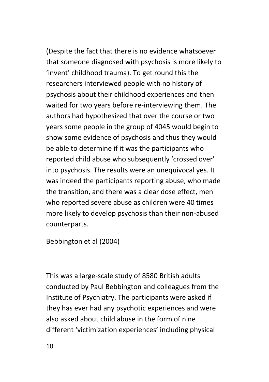(Despite the fact that there is no evidence whatsoever that someone diagnosed with psychosis is more likely to 'invent' childhood trauma). To get round this the researchers interviewed people with no history of psychosis about their childhood experiences and then waited for two years before re-interviewing them. The authors had hypothesized that over the course or two years some people in the group of 4045 would begin to show some evidence of psychosis and thus they would be able to determine if it was the participants who reported child abuse who subsequently 'crossed over' into psychosis. The results were an unequivocal yes. It was indeed the participants reporting abuse, who made the transition, and there was a clear dose effect, men who reported severe abuse as children were 40 times more likely to develop psychosis than their non-abused counterparts.

Bebbington et al (2004)

This was a large-scale study of 8580 British adults conducted by Paul Bebbington and colleagues from the Institute of Psychiatry. The participants were asked if they has ever had any psychotic experiences and were also asked about child abuse in the form of nine different 'victimization experiences' including physical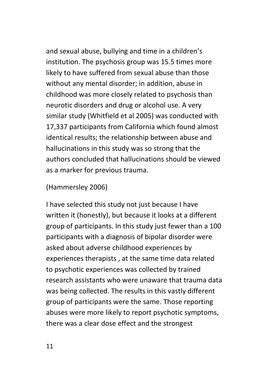and sexual abuse, bullying and time in a children's institution. The psychosis group was 15.5 times more likely to have suffered from sexual abuse than those without any mental disorder; in addition, abuse in childhood was more closely related to psychosis than neurotic disorders and drug or alcohol use. A very similar study (Whitfield et al 2005) was conducted with 17,337 participants from California which found almost identical results; the relationship between abuse and hallucinations in this study was so strong that the authors concluded that hallucinations should be viewed as a marker for previous trauma.

#### (Hammersley 2006)

I have selected this study not just because I have written it (honestly), but because it looks at a different group of participants. In this study just fewer than a 100 participants with a diagnosis of bipolar disorder were asked about adverse childhood experiences by experiences therapists , at the same time data related to psychotic experiences was collected by trained research assistants who were unaware that trauma data was being collected. The results in this vastly different group of participants were the same. Those reporting abuses were more likely to report psychotic symptoms, there was a clear dose effect and the strongest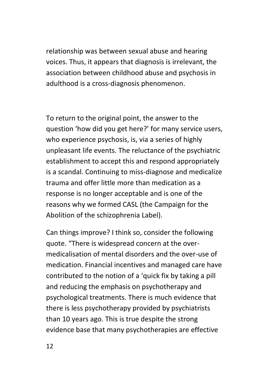relationship was between sexual abuse and hearing voices. Thus, it appears that diagnosis is irrelevant, the association between childhood abuse and psychosis in adulthood is a cross-diagnosis phenomenon.

To return to the original point, the answer to the question 'how did you get here?' for many service users, who experience psychosis, is, via a series of highly unpleasant life events. The reluctance of the psychiatric establishment to accept this and respond appropriately is a scandal. Continuing to miss-diagnose and medicalize trauma and offer little more than medication as a response is no longer acceptable and is one of the reasons why we formed CASL (the Campaign for the Abolition of the schizophrenia Label).

Can things improve? I think so, consider the following quote. "There is widespread concern at the overmedicalisation of mental disorders and the over-use of medication. Financial incentives and managed care have contributed to the notion of a 'quick fix by taking a pill and reducing the emphasis on psychotherapy and psychological treatments. There is much evidence that there is less psychotherapy provided by psychiatrists than 10 years ago. This is true despite the strong evidence base that many psychotherapies are effective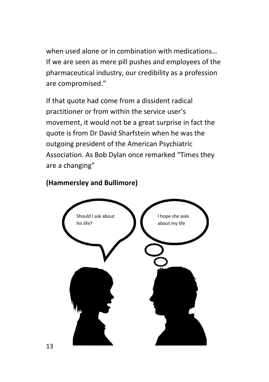when used alone or in combination with medications… If we are seen as mere pill pushes and employees of the pharmaceutical industry, our credibility as a profession are compromised."

If that quote had come from a dissident radical practitioner or from within the service user's movement, it would not be a great surprise in fact the quote is from Dr David Sharfstein when he was the outgoing president of the American Psychiatric Association. As Bob Dylan once remarked "Times they are a changing"



#### **(Hammersley and Bullimore)**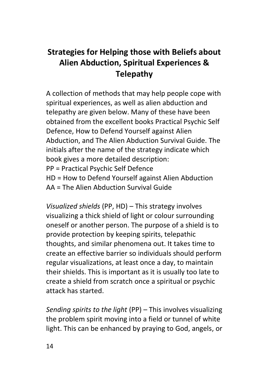# **Strategies for Helping those with Beliefs about Alien Abduction, Spiritual Experiences & Telepathy**

A collection of methods that may help people cope with spiritual experiences, as well as alien abduction and telepathy are given below. Many of these have been obtained from the excellent books Practical Psychic Self Defence, How to Defend Yourself against Alien Abduction, and The Alien Abduction Survival Guide. The initials after the name of the strategy indicate which book gives a more detailed description: PP = Practical Psychic Self Defence HD = How to Defend Yourself against Alien Abduction AA = The Alien Abduction Survival Guide

*Visualized shields* (PP, HD) – This strategy involves visualizing a thick shield of light or colour surrounding oneself or another person. The purpose of a shield is to provide protection by keeping spirits, telepathic thoughts, and similar phenomena out. It takes time to create an effective barrier so individuals should perform regular visualizations, at least once a day, to maintain their shields. This is important as it is usually too late to create a shield from scratch once a spiritual or psychic attack has started.

*Sending spirits to the light* (PP) – This involves visualizing the problem spirit moving into a field or tunnel of white light. This can be enhanced by praying to God, angels, or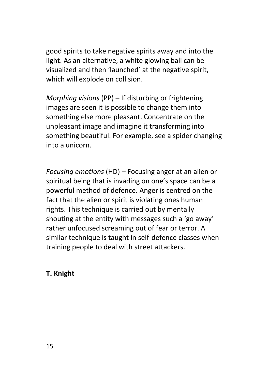good spirits to take negative spirits away and into the light. As an alternative, a white glowing ball can be visualized and then 'launched' at the negative spirit, which will explode on collision.

*Morphing visions* (PP) – If disturbing or frightening images are seen it is possible to change them into something else more pleasant. Concentrate on the unpleasant image and imagine it transforming into something beautiful. For example, see a spider changing into a unicorn.

*Focusing emotions* (HD) – Focusing anger at an alien or spiritual being that is invading on one's space can be a powerful method of defence. Anger is centred on the fact that the alien or spirit is violating ones human rights. This technique is carried out by mentally shouting at the entity with messages such a 'go away' rather unfocused screaming out of fear or terror. A similar technique is taught in self-defence classes when training people to deal with street attackers.

#### **T. Knight**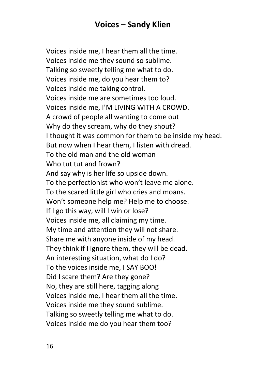## **Voices – Sandy Klien**

Voices inside me, I hear them all the time. Voices inside me they sound so sublime. Talking so sweetly telling me what to do. Voices inside me, do you hear them to? Voices inside me taking control. Voices inside me are sometimes too loud. Voices inside me, I'M LIVING WITH A CROWD. A crowd of people all wanting to come out Why do they scream, why do they shout? I thought it was common for them to be inside my head. But now when I hear them, I listen with dread. To the old man and the old woman Who tut tut and frown? And say why is her life so upside down. To the perfectionist who won't leave me alone. To the scared little girl who cries and moans. Won't someone help me? Help me to choose. If I go this way, will I win or lose? Voices inside me, all claiming my time. My time and attention they will not share. Share me with anyone inside of my head. They think if I ignore them, they will be dead. An interesting situation, what do I do? To the voices inside me, I SAY BOO! Did I scare them? Are they gone? No, they are still here, tagging along Voices inside me, I hear them all the time. Voices inside me they sound sublime. Talking so sweetly telling me what to do. Voices inside me do you hear them too?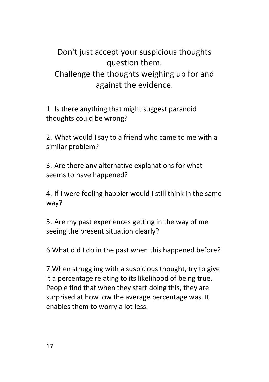Don't just accept your suspicious thoughts question them. Challenge the thoughts weighing up for and against the evidence.

1. Is there anything that might suggest paranoid thoughts could be wrong?

2. What would I say to a friend who came to me with a similar problem?

3. Are there any alternative explanations for what seems to have happened?

4. If I were feeling happier would I still think in the same way?

5. Are my past experiences getting in the way of me seeing the present situation clearly?

6.What did I do in the past when this happened before?

7.When struggling with a suspicious thought, try to give it a percentage relating to its likelihood of being true. People find that when they start doing this, they are surprised at how low the average percentage was. It enables them to worry a lot less.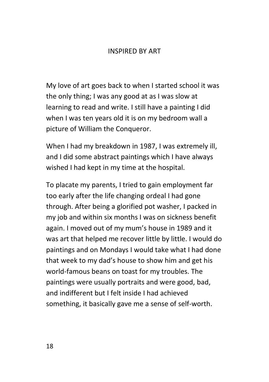#### INSPIRED BY ART

My love of art goes back to when I started school it was the only thing; I was any good at as I was slow at learning to read and write. I still have a painting I did when I was ten years old it is on my bedroom wall a picture of William the Conqueror.

When I had my breakdown in 1987, I was extremely ill, and I did some abstract paintings which I have always wished I had kept in my time at the hospital.

To placate my parents, I tried to gain employment far too early after the life changing ordeal I had gone through. After being a glorified pot washer, I packed in my job and within six months I was on sickness benefit again. I moved out of my mum's house in 1989 and it was art that helped me recover little by little. I would do paintings and on Mondays I would take what I had done that week to my dad's house to show him and get his world-famous beans on toast for my troubles. The paintings were usually portraits and were good, bad, and indifferent but I felt inside I had achieved something, it basically gave me a sense of self-worth.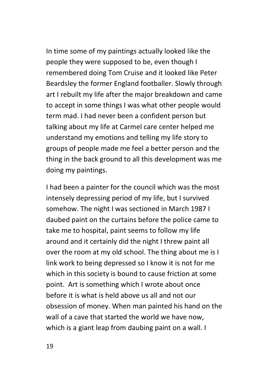In time some of my paintings actually looked like the people they were supposed to be, even though I remembered doing Tom Cruise and it looked like Peter Beardsley the former England footballer. Slowly through art I rebuilt my life after the major breakdown and came to accept in some things I was what other people would term mad. I had never been a confident person but talking about my life at Carmel care center helped me understand my emotions and telling my life story to groups of people made me feel a better person and the thing in the back ground to all this development was me doing my paintings.

I had been a painter for the council which was the most intensely depressing period of my life, but I survived somehow. The night I was sectioned in March 1987 I daubed paint on the curtains before the police came to take me to hospital, paint seems to follow my life around and it certainly did the night I threw paint all over the room at my old school. The thing about me is I link work to being depressed so I know it is not for me which in this society is bound to cause friction at some point. Art is something which I wrote about once before it is what is held above us all and not our obsession of money. When man painted his hand on the wall of a cave that started the world we have now, which is a giant leap from daubing paint on a wall. I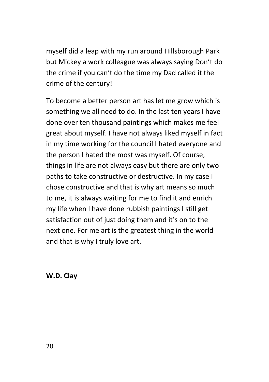myself did a leap with my run around Hillsborough Park but Mickey a work colleague was always saying Don't do the crime if you can't do the time my Dad called it the crime of the century!

To become a better person art has let me grow which is something we all need to do. In the last ten years I have done over ten thousand paintings which makes me feel great about myself. I have not always liked myself in fact in my time working for the council I hated everyone and the person I hated the most was myself. Of course, things in life are not always easy but there are only two paths to take constructive or destructive. In my case I chose constructive and that is why art means so much to me, it is always waiting for me to find it and enrich my life when I have done rubbish paintings I still get satisfaction out of just doing them and it's on to the next one. For me art is the greatest thing in the world and that is why I truly love art.

**W.D. Clay**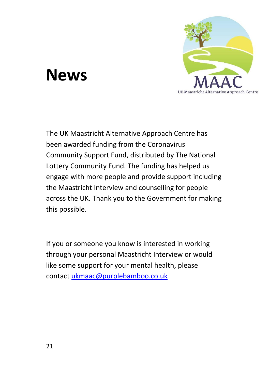

# **News**

The UK Maastricht Alternative Approach Centre has been awarded funding from the Coronavirus Community Support Fund, distributed by The National Lottery Community Fund. The funding has helped us engage with more people and provide support including the Maastricht Interview and counselling for people across the UK. Thank you to the Government for making this possible.

If you or someone you know is interested in working through your personal Maastricht Interview or would like some support for your mental health, please contact [ukmaac@purplebamboo.co.uk](mailto:ukmaac@purplebamboo.co.uk)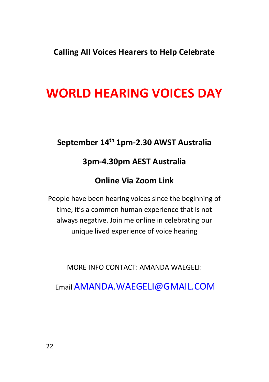**Calling All Voices Hearers to Help Celebrate**

# **WORLD HEARING VOICES DAY**

## **September 14th 1pm-2.30 AWST Australia**

## **3pm-4.30pm AEST Australia**

## **Online Via Zoom Link**

People have been hearing voices since the beginning of time, it's a common human experience that is not always negative. Join me online in celebrating our unique lived experience of voice hearing

MORE INFO CONTACT: AMANDA WAEGELI:

Email [AMANDA.WAEGELI@GMAIL.COM](mailto:AMANDA.WAEGELI@GMAIL.COM)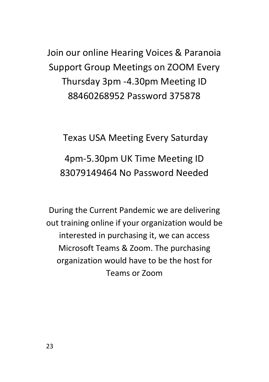Join our online Hearing Voices & Paranoia Support Group Meetings on ZOOM Every Thursday 3pm -4.30pm Meeting ID 88460268952 Password 375878

Texas USA Meeting Every Saturday 4pm-5.30pm UK Time Meeting ID 83079149464 No Password Needed

During the Current Pandemic we are delivering out training online if your organization would be interested in purchasing it, we can access Microsoft Teams & Zoom. The purchasing organization would have to be the host for Teams or Zoom